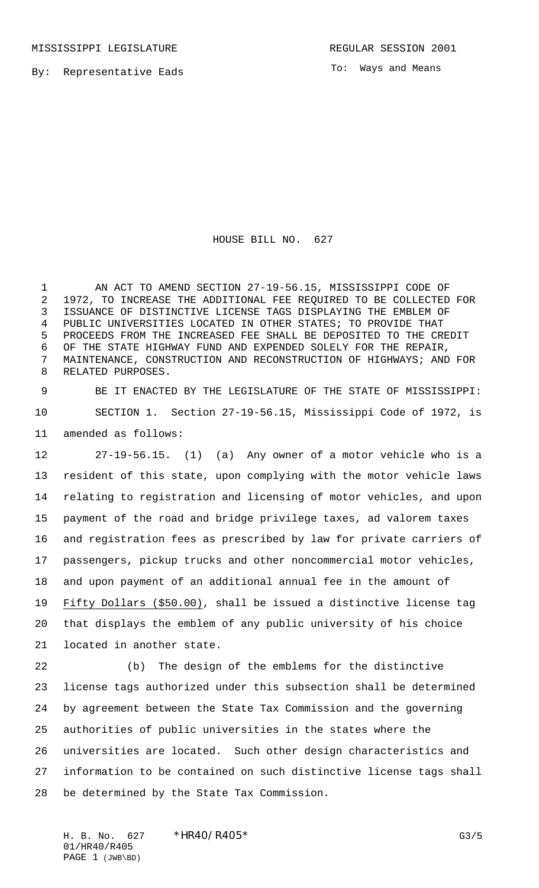To: Ways and Means

HOUSE BILL NO. 627

 AN ACT TO AMEND SECTION 27-19-56.15, MISSISSIPPI CODE OF 1972, TO INCREASE THE ADDITIONAL FEE REQUIRED TO BE COLLECTED FOR ISSUANCE OF DISTINCTIVE LICENSE TAGS DISPLAYING THE EMBLEM OF PUBLIC UNIVERSITIES LOCATED IN OTHER STATES; TO PROVIDE THAT PROCEEDS FROM THE INCREASED FEE SHALL BE DEPOSITED TO THE CREDIT OF THE STATE HIGHWAY FUND AND EXPENDED SOLELY FOR THE REPAIR, MAINTENANCE, CONSTRUCTION AND RECONSTRUCTION OF HIGHWAYS; AND FOR RELATED PURPOSES.

 BE IT ENACTED BY THE LEGISLATURE OF THE STATE OF MISSISSIPPI: SECTION 1. Section 27-19-56.15, Mississippi Code of 1972, is amended as follows:

 27-19-56.15. (1) (a) Any owner of a motor vehicle who is a resident of this state, upon complying with the motor vehicle laws relating to registration and licensing of motor vehicles, and upon payment of the road and bridge privilege taxes, ad valorem taxes and registration fees as prescribed by law for private carriers of passengers, pickup trucks and other noncommercial motor vehicles, and upon payment of an additional annual fee in the amount of Fifty Dollars (\$50.00), shall be issued a distinctive license tag that displays the emblem of any public university of his choice located in another state.

 (b) The design of the emblems for the distinctive license tags authorized under this subsection shall be determined by agreement between the State Tax Commission and the governing authorities of public universities in the states where the universities are located. Such other design characteristics and information to be contained on such distinctive license tags shall be determined by the State Tax Commission.

H. B. No. 627 \* HR40/R405\* G3/5 01/HR40/R405 PAGE 1 (JWB\BD)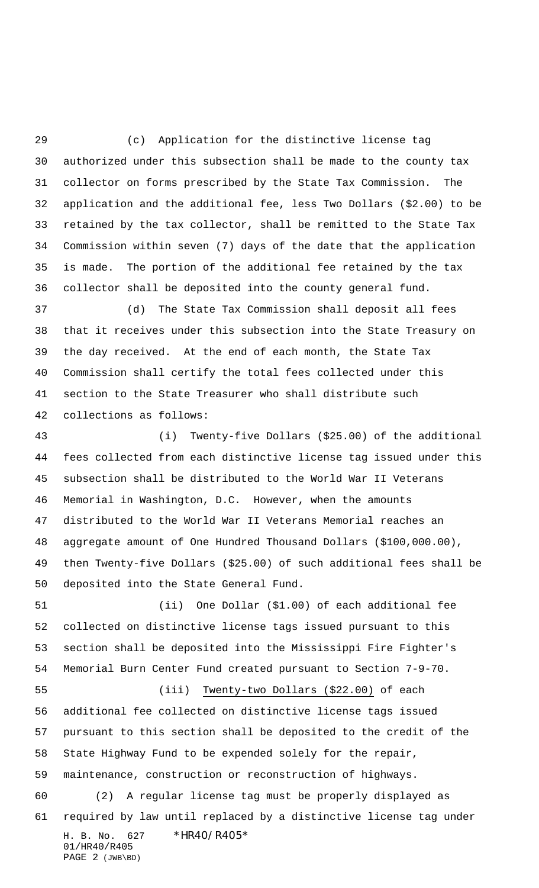(c) Application for the distinctive license tag authorized under this subsection shall be made to the county tax collector on forms prescribed by the State Tax Commission. The application and the additional fee, less Two Dollars (\$2.00) to be retained by the tax collector, shall be remitted to the State Tax Commission within seven (7) days of the date that the application is made. The portion of the additional fee retained by the tax collector shall be deposited into the county general fund.

 (d) The State Tax Commission shall deposit all fees that it receives under this subsection into the State Treasury on the day received. At the end of each month, the State Tax Commission shall certify the total fees collected under this section to the State Treasurer who shall distribute such collections as follows:

 (i) Twenty-five Dollars (\$25.00) of the additional fees collected from each distinctive license tag issued under this subsection shall be distributed to the World War II Veterans Memorial in Washington, D.C. However, when the amounts distributed to the World War II Veterans Memorial reaches an aggregate amount of One Hundred Thousand Dollars (\$100,000.00), then Twenty-five Dollars (\$25.00) of such additional fees shall be deposited into the State General Fund.

 (ii) One Dollar (\$1.00) of each additional fee collected on distinctive license tags issued pursuant to this section shall be deposited into the Mississippi Fire Fighter's Memorial Burn Center Fund created pursuant to Section 7-9-70.

H. B. No. 627 \* HR40/R405\* 01/HR40/R405 PAGE 2 (JWB\BD) (iii) Twenty-two Dollars (\$22.00) of each additional fee collected on distinctive license tags issued pursuant to this section shall be deposited to the credit of the State Highway Fund to be expended solely for the repair, maintenance, construction or reconstruction of highways. (2) A regular license tag must be properly displayed as required by law until replaced by a distinctive license tag under